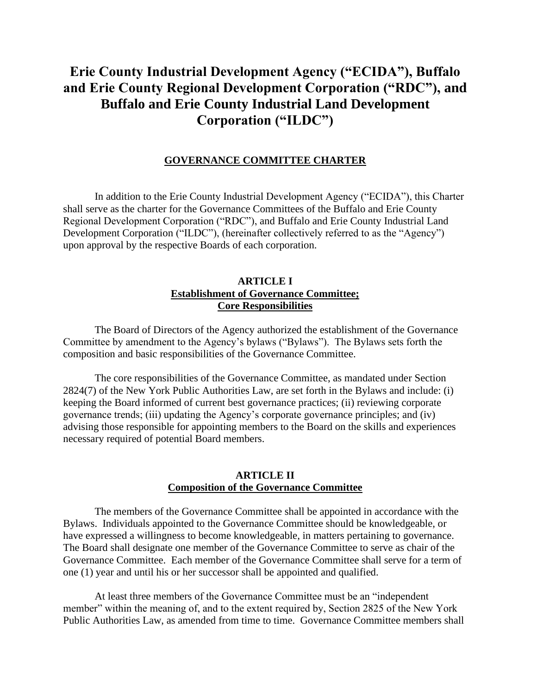# **Erie County Industrial Development Agency ("ECIDA"), Buffalo and Erie County Regional Development Corporation ("RDC"), and Buffalo and Erie County Industrial Land Development Corporation ("ILDC")**

#### **GOVERNANCE COMMITTEE CHARTER**

In addition to the Erie County Industrial Development Agency ("ECIDA"), this Charter shall serve as the charter for the Governance Committees of the Buffalo and Erie County Regional Development Corporation ("RDC"), and Buffalo and Erie County Industrial Land Development Corporation ("ILDC"), (hereinafter collectively referred to as the "Agency") upon approval by the respective Boards of each corporation.

#### **ARTICLE I Establishment of Governance Committee; Core Responsibilities**

The Board of Directors of the Agency authorized the establishment of the Governance Committee by amendment to the Agency's bylaws ("Bylaws"). The Bylaws sets forth the composition and basic responsibilities of the Governance Committee.

The core responsibilities of the Governance Committee, as mandated under Section 2824(7) of the New York Public Authorities Law, are set forth in the Bylaws and include: (i) keeping the Board informed of current best governance practices; (ii) reviewing corporate governance trends; (iii) updating the Agency's corporate governance principles; and (iv) advising those responsible for appointing members to the Board on the skills and experiences necessary required of potential Board members.

## **ARTICLE II Composition of the Governance Committee**

The members of the Governance Committee shall be appointed in accordance with the Bylaws. Individuals appointed to the Governance Committee should be knowledgeable, or have expressed a willingness to become knowledgeable, in matters pertaining to governance. The Board shall designate one member of the Governance Committee to serve as chair of the Governance Committee. Each member of the Governance Committee shall serve for a term of one (1) year and until his or her successor shall be appointed and qualified.

At least three members of the Governance Committee must be an "independent member" within the meaning of, and to the extent required by, Section 2825 of the New York Public Authorities Law, as amended from time to time. Governance Committee members shall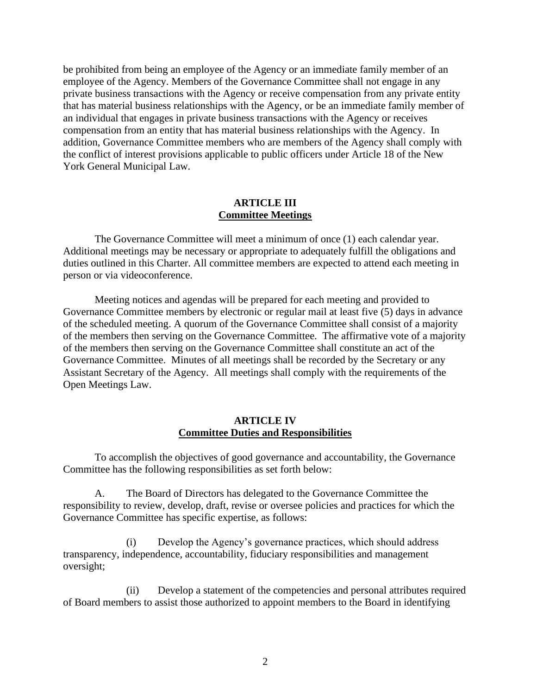be prohibited from being an employee of the Agency or an immediate family member of an employee of the Agency. Members of the Governance Committee shall not engage in any private business transactions with the Agency or receive compensation from any private entity that has material business relationships with the Agency, or be an immediate family member of an individual that engages in private business transactions with the Agency or receives compensation from an entity that has material business relationships with the Agency. In addition, Governance Committee members who are members of the Agency shall comply with the conflict of interest provisions applicable to public officers under Article 18 of the New York General Municipal Law.

#### **ARTICLE III Committee Meetings**

The Governance Committee will meet a minimum of once (1) each calendar year. Additional meetings may be necessary or appropriate to adequately fulfill the obligations and duties outlined in this Charter. All committee members are expected to attend each meeting in person or via videoconference.

Meeting notices and agendas will be prepared for each meeting and provided to Governance Committee members by electronic or regular mail at least five (5) days in advance of the scheduled meeting. A quorum of the Governance Committee shall consist of a majority of the members then serving on the Governance Committee. The affirmative vote of a majority of the members then serving on the Governance Committee shall constitute an act of the Governance Committee. Minutes of all meetings shall be recorded by the Secretary or any Assistant Secretary of the Agency. All meetings shall comply with the requirements of the Open Meetings Law.

#### **ARTICLE IV Committee Duties and Responsibilities**

To accomplish the objectives of good governance and accountability, the Governance Committee has the following responsibilities as set forth below:

A. The Board of Directors has delegated to the Governance Committee the responsibility to review, develop, draft, revise or oversee policies and practices for which the Governance Committee has specific expertise, as follows:

(i) Develop the Agency's governance practices, which should address transparency, independence, accountability, fiduciary responsibilities and management oversight;

(ii) Develop a statement of the competencies and personal attributes required of Board members to assist those authorized to appoint members to the Board in identifying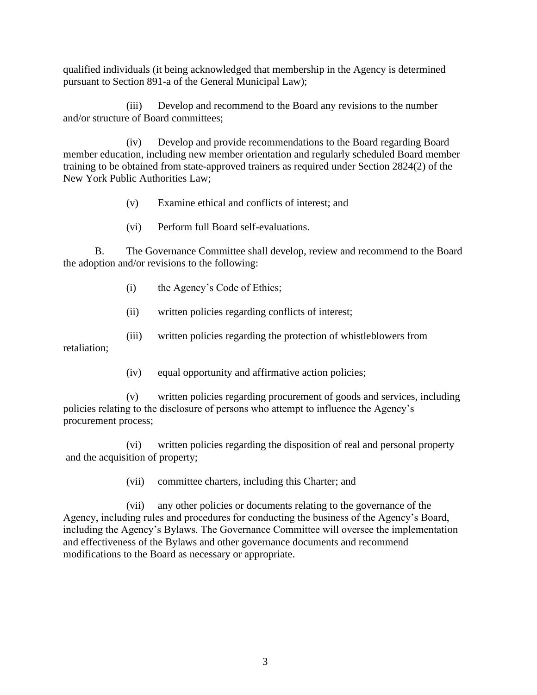qualified individuals (it being acknowledged that membership in the Agency is determined pursuant to Section 891-a of the General Municipal Law);

(iii) Develop and recommend to the Board any revisions to the number and/or structure of Board committees;

(iv) Develop and provide recommendations to the Board regarding Board member education, including new member orientation and regularly scheduled Board member training to be obtained from state-approved trainers as required under Section 2824(2) of the New York Public Authorities Law;

- (v) Examine ethical and conflicts of interest; and
- (vi) Perform full Board self-evaluations.

B. The Governance Committee shall develop, review and recommend to the Board the adoption and/or revisions to the following:

- (i) the Agency's Code of Ethics;
- (ii) written policies regarding conflicts of interest;
- (iii) written policies regarding the protection of whistleblowers from retaliation;
	- (iv) equal opportunity and affirmative action policies;

(v) written policies regarding procurement of goods and services, including policies relating to the disclosure of persons who attempt to influence the Agency's procurement process;

(vi) written policies regarding the disposition of real and personal property and the acquisition of property;

(vii) committee charters, including this Charter; and

(vii) any other policies or documents relating to the governance of the Agency, including rules and procedures for conducting the business of the Agency's Board, including the Agency's Bylaws. The Governance Committee will oversee the implementation and effectiveness of the Bylaws and other governance documents and recommend modifications to the Board as necessary or appropriate.